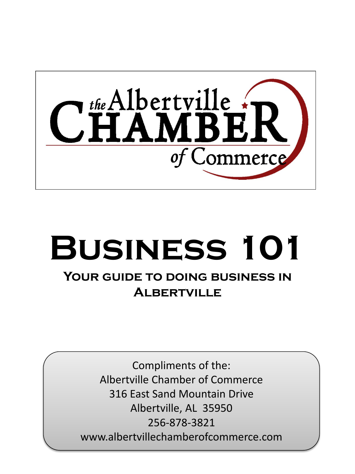

# **Business 101**

### **Your guide to doing business in Albertville**

Compliments of the: Albertville Chamber of Commerce 316 East Sand Mountain Drive Albertville, AL 35950 256-878-3821 www.albertvillechamberofcommerce.com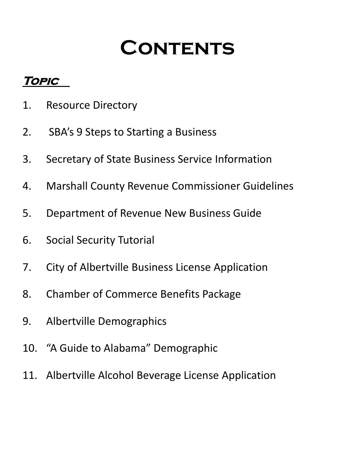### **Contents**

### **Topic**

- 1. Resource Directory
- 2. SBA's 9 Steps to Starting a Business
- 3. Secretary of State Business Service Information
- 4. Marshall County Revenue Commissioner Guidelines
- 5. Department of Revenue New Business Guide
- 6. Social Security Tutorial
- 7. City of Albertville Business License Application
- 8. Chamber of Commerce Benefits Package
- 9. Albertville Demographics
- 10. "A Guide to Alabama" Demographic
- 11. Albertville Alcohol Beverage License Application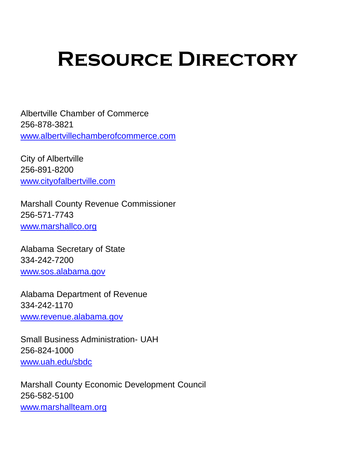## **Resource Directory**

Albertville Chamber of Commerce 256-878-3821 [www.albertvillechamberofcommerce.com](http://www.albertvillechamberofcommerce.com/)

City of Albertville 256-891-8200 [www.cityofalbertville.com](http://www.cityofalbertville.com/)

Marshall County Revenue Commissioner 256-571-7743 [www.marshallco.org](http://www.marshallco.org/)

Alabama Secretary of State 334-242-7200 [www.sos.alabama.gov](http://www.sos.alabama.gov/)

Alabama Department of Revenue 334-242-1170 [www.revenue.alabama.gov](http://www.revenue.alabama.gov/)

Small Business Administration- UAH 256-824-1000 [www.uah.edu/sbdc](http://www.uah.edu/sbdc)

Marshall County Economic Development Council 256-582-5100 [www.marshallteam.org](http://www.marshallteam.org/)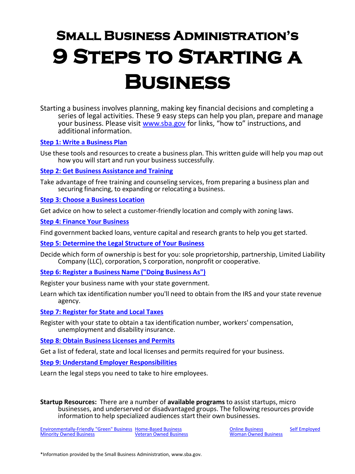### **Small Business Administration's 9 Steps to Starting a Business**

Starting a business involves planning, making key financial decisions and completing a series of legal activities. These 9 easy steps can help you plan, prepare and manage your business. Please visit [www.sba.gov](http://www.sba.gov/) for links, "how to" instructions, and additional information.

#### **[Step 1: Write a Business Plan](https://www.sba.gov/category/navigation-structure/starting-managing-business/starting-business/how-write-business-plan)**

Use these tools and resources to create a business plan. This written guide will help you map out how you will start and run your business successfully.

#### **[Step 2: Get Business Assistance and Training](https://www.sba.gov/category/navigation-structure/counseling-training)**

Take advantage of free training and counseling services, from preparing a business plan and securing financing, to expanding or relocating a business.

#### **[Step 3: Choose a Business Location](https://www.sba.gov/content/tips-choosing-business-location)**

Get advice on how to select a customer-friendly location and comply with zoning laws.

**[Step 4: Finance Your Business](https://www.sba.gov/category/navigation-structure/loans-grants/small-business-loans/sba-loan-programs)**

Find government backed loans, venture capital and research grants to help you get started.

**[Step 5: Determine the Legal Structure of Your Business](https://www.sba.gov/content/business-structure-and-tax-implications)**

Decide which form of ownership is best for you: sole proprietorship, partnership, Limited Liability Company (LLC), corporation, S corporation, nonprofit or cooperative.

**[Step 6: Register a Business Name \("Doing Business As"\)](https://www.sba.gov/content/register-your-fictitious-or-doing-business-dba-name)**

Register your business name with your state government.

Learn which tax identification number you'll need to obtain from the IRS and your state revenue agency.

**[Step 7: Register for State and Local Taxes](https://www.sba.gov/content/learn-about-your-state-and-local-tax-obligations)**

Register with your state to obtain a tax identification number, workers' compensation, unemployment and disability insurance.

#### **[Step 8: Obtain Business Licenses and Permits](https://www.sba.gov/content/obtaining-business-licenses-permits)**

Get a list of federal, state and local licenses and permits required for your business.

#### **[Step 9: Understand Employer Responsibilities](https://www.sba.gov/content/10-steps-hiring-your-first-employee)**

Learn the legal steps you need to take to hire employees.

**Startup Resources:** There are a number of **available programs** to assist startups, micro businesses, and underserved or disadvantaged groups. The following resources provide information to help specialized audiences start their own businesses.

[Environmentally-Friendly "Green" Business](https://www.sba.gov/content/starting-green-business) [Home-Based Business](https://www.sba.gov/content/home-based-business) Conline Business [Self Employed](https://www.sba.gov/content/self-employed-independent-contractors)<br>
Minority Owned Business Self Employed<br>
Moman Owned Business **[Minority Owned Business](https://www.sba.gov/content/minority-owned-businesses)**